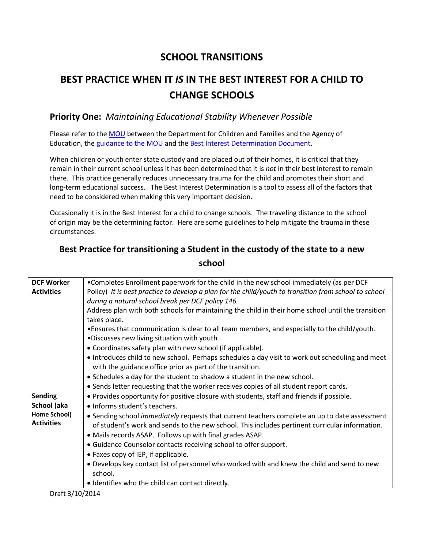## **SCHOOL TRANSITIONS**

## **BEST PRACTICE WHEN IT** *IS* **IN THE BEST INTEREST FOR A CHILD TO CHANGE SCHOOLS**

## **Priority One:** *Maintaining Educational Stability Whenever Possible*

Please refer to the [MOU](http://vtfutres.org/wp-content/uploads/2014/01/6-S10-MOU-Between-DCF-and-AOE-to-Maintain-Educational-Placement.pdf) between the Department for Children and Families and the Agency of Education, the [guidance to the MOU](http://vtfutres.org/wp-content/uploads/2014/01/MOU-Guidance-1-2-141.pdf) and th[e Best Interest Determination Document.](http://vtfutres.org/wp-content/uploads/2014/01/Education-Best-Interest-Determination-Evaluation-Form1-14.pdf)

When children or youth enter state custody and are placed out of their homes, it is critical that they remain in their current school unless it has been determined that it is *not* in their best interest to remain there. This practice generally reduces unnecessary trauma for the child and promotes their short and long-term educational success. The Best Interest Determination is a tool to assess all of the factors that need to be considered when making this very important decision.

Occasionally it is in the Best Interest for a child to change schools. The traveling distance to the school of origin may be the determining factor. Here are some guidelines to help mitigate the trauma in these circumstances.

## **Best Practice for transitioning a Student in the custody of the state to a new school**

| <b>DCF Worker</b><br>. Completes Enrollment paperwork for the child in the new school immediately (as per DCF<br>Policy) It is best practice to develop a plan for the child/youth to transition from school to school<br><b>Activities</b><br>during a natural school break per DCF policy 146.<br>Address plan with both schools for maintaining the child in their home school until the transition<br>takes place.<br>• Ensures that communication is clear to all team members, and especially to the child/youth.<br>. Discusses new living situation with youth<br>• Coordinates safety plan with new school (if applicable). |                                                                                                 |
|--------------------------------------------------------------------------------------------------------------------------------------------------------------------------------------------------------------------------------------------------------------------------------------------------------------------------------------------------------------------------------------------------------------------------------------------------------------------------------------------------------------------------------------------------------------------------------------------------------------------------------------|-------------------------------------------------------------------------------------------------|
|                                                                                                                                                                                                                                                                                                                                                                                                                                                                                                                                                                                                                                      |                                                                                                 |
|                                                                                                                                                                                                                                                                                                                                                                                                                                                                                                                                                                                                                                      |                                                                                                 |
|                                                                                                                                                                                                                                                                                                                                                                                                                                                                                                                                                                                                                                      |                                                                                                 |
|                                                                                                                                                                                                                                                                                                                                                                                                                                                                                                                                                                                                                                      |                                                                                                 |
|                                                                                                                                                                                                                                                                                                                                                                                                                                                                                                                                                                                                                                      |                                                                                                 |
|                                                                                                                                                                                                                                                                                                                                                                                                                                                                                                                                                                                                                                      |                                                                                                 |
|                                                                                                                                                                                                                                                                                                                                                                                                                                                                                                                                                                                                                                      |                                                                                                 |
|                                                                                                                                                                                                                                                                                                                                                                                                                                                                                                                                                                                                                                      |                                                                                                 |
|                                                                                                                                                                                                                                                                                                                                                                                                                                                                                                                                                                                                                                      | • Introduces child to new school. Perhaps schedules a day visit to work out scheduling and meet |
| with the guidance office prior as part of the transition.                                                                                                                                                                                                                                                                                                                                                                                                                                                                                                                                                                            |                                                                                                 |
| • Schedules a day for the student to shadow a student in the new school.                                                                                                                                                                                                                                                                                                                                                                                                                                                                                                                                                             |                                                                                                 |
| • Sends letter requesting that the worker receives copies of all student report cards.                                                                                                                                                                                                                                                                                                                                                                                                                                                                                                                                               |                                                                                                 |
| <b>Sending</b><br>. Provides opportunity for positive closure with students, staff and friends if possible.                                                                                                                                                                                                                                                                                                                                                                                                                                                                                                                          |                                                                                                 |
| School (aka<br>• Informs student's teachers.                                                                                                                                                                                                                                                                                                                                                                                                                                                                                                                                                                                         |                                                                                                 |
| <b>Home School)</b><br>• Sending school <i>immediately</i> requests that current teachers complete an up to date assessment                                                                                                                                                                                                                                                                                                                                                                                                                                                                                                          |                                                                                                 |
| <b>Activities</b><br>of student's work and sends to the new school. This includes pertinent curricular information.                                                                                                                                                                                                                                                                                                                                                                                                                                                                                                                  |                                                                                                 |
| • Mails records ASAP. Follows up with final grades ASAP.                                                                                                                                                                                                                                                                                                                                                                                                                                                                                                                                                                             |                                                                                                 |
| • Guidance Counselor contacts receiving school to offer support.                                                                                                                                                                                                                                                                                                                                                                                                                                                                                                                                                                     |                                                                                                 |
| • Faxes copy of IEP, if applicable.                                                                                                                                                                                                                                                                                                                                                                                                                                                                                                                                                                                                  |                                                                                                 |
| . Develops key contact list of personnel who worked with and knew the child and send to new                                                                                                                                                                                                                                                                                                                                                                                                                                                                                                                                          |                                                                                                 |
| school.                                                                                                                                                                                                                                                                                                                                                                                                                                                                                                                                                                                                                              |                                                                                                 |
| • Identifies who the child can contact directly.                                                                                                                                                                                                                                                                                                                                                                                                                                                                                                                                                                                     |                                                                                                 |